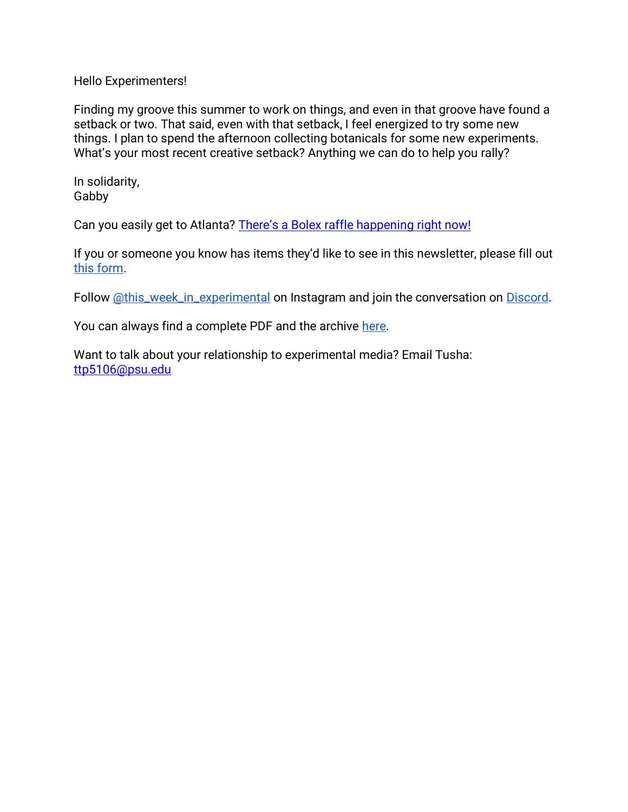Hello Experimenters!

Finding my groove this summer to work on things, and even in that groove have found a setback or two. That said, even with that setback, I feel energized to try some new things. I plan to spend the afternoon collecting botanicals for some new experiments. What's your most recent creative setback? Anything we can do to help you rally?

In solidarity, Gabby

Can you easily get to Atlanta? [There's a Bolex raffle happening right now!](https://www.instagram.com/p/Ceejo3JOHd3/?utm_source=ig_web_copy_link)

If you or someone you know has items they'd like to see in this newsletter, please fill out [this form.](https://forms.gle/aAtxrz2GTLAHzxNt7)

Follow [@this\\_week\\_in\\_experimental](https://www.instagram.com/this_week_in_experimental/) on Instagram and join the conversation on [Discord.](https://discord.gg/7dtZfbgemg)

You can always find a complete PDF and the archive [here.](https://www.gfollettsumney.com/this-week-in-experimental.html)

Want to talk about your relationship to experimental media? Email Tusha: [ttp5106@psu.edu](mailto:ttp5106@psu.edu)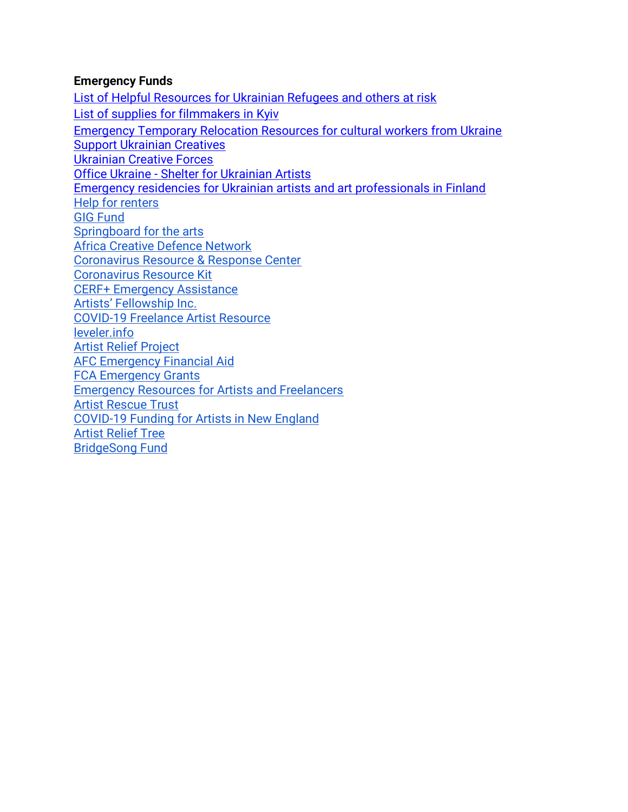## **Emergency Funds**

[List of Helpful Resources for Ukrainian Refugees and others at risk](http://oberliht.org/wp-content/uploads/2022/03/List-of-Helpful-Resources-for-Ukrainian-Refugees-and-others-at-risk.pdf) [List of supplies for filmmakers in Kyiv](https://docs.google.com/spreadsheets/d/1AoxkubXX1NVaAONJ27CwAndJxx8GvvYrQqswYYZMqIM/edit#gid=0) [Emergency Temporary Relocation Resources for cultural workers from Ukraine](https://docs.google.com/document/d/1zDP7jpiRj6M_NCTxY5P6A3IDjSaHLSvIsri-Vzb-A7g/edit?usp=sharing) [Support Ukrainian Creatives](https://docs.google.com/forms/d/e/1FAIpQLSc3vkx2iqH45Zl1aaNvlfVrLzf9I5is0vqAs0FZjoQWm-9IHw/viewform?fbclid=IwAR3VtgnvRUgF4VeKuelLqAfBoapxZZDtM157yV-WuKDkumi-qwaq_xqURfk) [Ukrainian Creative Forces](https://docs.google.com/forms/d/e/1FAIpQLSeMw87Reqj7ZlHyZxEf4cfZHgX5P5CLtjCY4LxujRheZRxzVQ/viewform) Office Ukraine - [Shelter for Ukrainian Artists](https://www.bmkoes.gv.at/Kunst-und-Kultur/Neuigkeiten/Office-Ukraine.html) [Emergency residencies for Ukrainian artists and art professionals in Finland](https://koneensaatio.fi/en/news/emergency-residencies/) [Help for renters](https://www.consumerfinance.gov/coronavirus/mortgage-and-housing-assistance/renter-protections/#rental-assistance) [GIG Fund](https://www.artsmidwest.org/programs/gigfund) [Springboard for the arts](https://springboardforthearts.org/coronavirus/) [Africa Creative Defence Network](https://artistsatriskconnection.org/story/amani-africa-creative-defence-network) [Coronavirus Resource & Response Center](https://www.americansforthearts.org/by-topic/disaster-preparedness/coronavirus-covid-19-resource-and-response-center#impact) [Coronavirus Resource Kit](https://docs.google.com/document/u/1/d/1Rcan4C_e6OBFBI5bUn7MtYK74Ab-WarxyJmDvZUI_YA/mobilebasic?urp=gmail_link) [CERF+ Emergency Assistance](https://cerfplus.org/get-relief/apply-for-help/craft-emergency-relief-fund/) [Artists' Fellowship Inc.](https://www.artistsfellowship.org/financial-aid-application) [COVID-19 Freelance Artist Resource](https://www.freelanceartistresource.com/) [leveler.info](https://www.leveler.info/) [Artist Relief Project](https://artistreliefproject.org/request_funding/) [AFC Emergency Financial Aid](https://afchelps.ca/covid-19-guide/) [FCA Emergency Grants](https://www.foundationforcontemporaryarts.org/grants/emergency-grants/) [Emergency Resources for Artists and Freelancers](https://docs.google.com/document/d/1xv238DlW_9HWhJTHr561r8fPaD4BSzOZraDOm2ESyeA/edit) [Artist Rescue Trust](https://artistrescue.org/?fbclid=IwAR2V26dcrdrAzARHGEgfMoo7ftKVU1vXh6pY_PJBAQAPeLo1IsgghDDUU0I) [COVID-19 Funding for Artists in New England](https://newenglandfilm.com/magazine/2020/04/covid-19-funding-for-artists-in-new-england) [Artist Relief Tree](https://artistrelieftree.com/helpful-resources/) [BridgeSong Fund](https://docs.google.com/forms/d/1yRXi5ehvyoJPXKmTx4tAfKU8agpoLHbW2Y-6MYT51eA/viewform?ts=5e7bf119&edit_requested=true)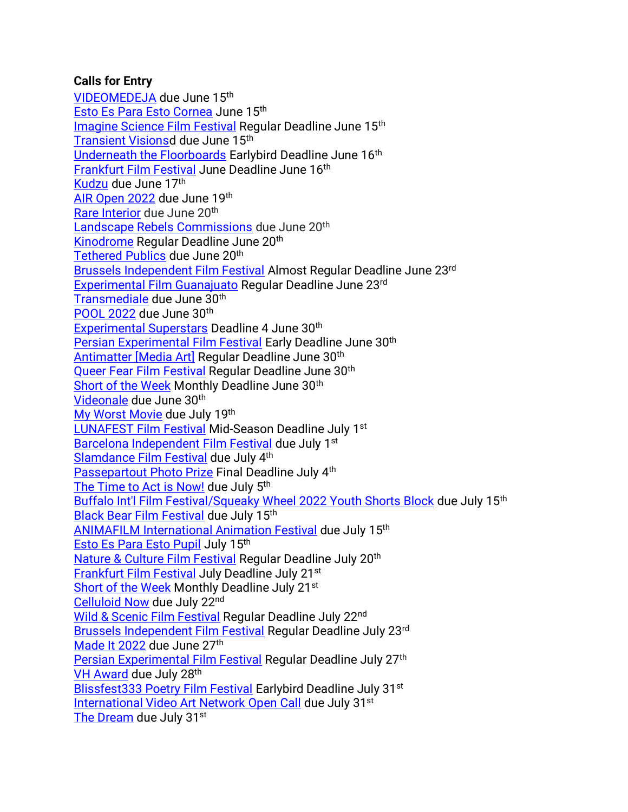# **Calls for Entry**

[VIDEOMEDEJA](http://videomedeja.org/entries/terms-and-conditions/?lang=en&fbclid=IwAR3X0CnMfQ_GUcpUyBA7ez2QdCNhHCT5S3TfyWTPe6WxjKUu3TVGym-qPjE) due June 15th [Esto Es Para Esto Cornea](https://filmfreeway.com/EstoEsParaEsto) June 15th [Imagine Science Film Festival](https://filmfreeway.com/ImagineScienceFilmFestival) Regular Deadline June 15th [Transient Visionsd](https://filmfreeway.com/TransientVisions) due June 15<sup>th</sup> [Underneath the Floorboards](https://filmfreeway.com/MyFilmFestival-534726?fbclid=IwAR0F6CZJgpvTHp_1KMibmwE2mM_tddq6w5s8flWPFyNtLPQsW6G4763HPes) Earlybird Deadline June 16th [Frankfurt Film Festival](https://filmfreeway.com/filmfestfrankfurt) June Deadline June 16th [Kudzu](https://sfqp.info/kudcall) due June 17th [AIR Open 2022](https://www.airgallery.space/opencall?fbclid=IwAR22icSQr4srKuwkOHU8IlKdtEYOp-ftks40Gp4wYJbNPRKuOsMp1mQ2PHU) due June 19th [Rare Interior](https://rareinteriorart.co.uk/blogs/news/rare-is-looking-to-represent-new-talent) due June 20<sup>th</sup> [Landscape Rebels Commissions](https://cimuseums.org.uk/areyoualandscaperebel/) due June 20<sup>th</sup> [Kinodrome](https://filmfreeway.com/KinoDrome) Regular Deadline June 20<sup>th</sup> [Tethered Publics](https://tetheredpublics.app/open-call) due June 20<sup>th</sup> [Brussels Independent Film Festival](https://filmfreeway.com/BrusselsFilmFestival) Almost Regular Deadline June 23rd [Experimental Film Guanajuato](https://filmfreeway.com/ExperimentalFilm) Regular Deadline June 23rd [Transmediale](https://data.transmediale.de/assets/uploads/tm23_call_for_proposals.pdf) due June 30<sup>th</sup> [POOL 2022](https://pool-festival.de/open-call/) due June 30th [Experimental Superstars](https://filmfreeway.com/ExperimentalSuperstars?fbclid=IwAR2oWQx98KIYyakd42hts_Fwnwq3zhDqmX191M1Bj34bsa9NqihowVkTcFA) Deadline 4 June 30<sup>th</sup> [Persian Experimental Film Festival](https://filmfreeway.com/persianexpfilmfest?fbclid=IwAR3k4gt3qoAHgKUnqPQNOaRgZcOAz9mvau1qG-i78xr5ZVMwJ1v-i4CJUQY) Early Deadline June 30<sup>th</sup> Antimatter [\[Media Art\]](https://filmfreeway.com/AntimatterMediaArt) Regular Deadline June 30th [Queer Fear Film Festival](https://filmfreeway.com/QueerFearFilmFestival) Regular Deadline June 30<sup>th</sup> [Short of the Week](https://filmfreeway.com/shortoftheweek) Monthly Deadline June 30<sup>th</sup> [Videonale](https://v19.videonale.org/en/call) due June 30th [My Worst Movie](https://www.instagram.com/p/CeEZpZru1F8/?utm_source=ig_web_copy_link) due July 19th [LUNAFEST Film Festival](https://filmfreeway.com/LUNAFEST?action=show&controller=festivals&utm_campaign=Recently+Opened+for+Entries&utm_medium=email&utm_source=filmmaker_newsletter) Mid-Season Deadline July 1st [Barcelona Independent Film Festival](https://alternativa.cccb.org/2022/en/2022-call-for-entries/film-submissions) due July 1<sup>st</sup> [Slamdance Film Festival](https://filmfreeway.com/SlamdanceFilmFestival) due July 4<sup>th</sup> [Passepartout Photo Prize](https://www.passepartoutprize.com/about/) Final Deadline July 4<sup>th</sup> [The Time to Act is Now!](https://www.worldphoto.org/picture-this) due July 5<sup>th</sup> [Buffalo Int'l Film Festival/Squeaky Wheel 2022 Youth Shorts Block](https://docs.google.com/forms/d/e/1FAIpQLSeNzjnpVORG4uEUNOcxV5-zLuMubBdlFNdbACI2WGcG1cmg5g/viewform) due July 15<sup>th</sup> [Black Bear Film Festival](https://filmfreeway.com/BlackBearFilmFestival) due July 15th [ANIMAFILM International Animation Festival](https://filmfreeway.com/ANIMAFILM-Baku_International_Animation_Festival) due July 15th [Esto Es Para Esto Pupil](https://filmfreeway.com/EstoEsParaEsto) July 15<sup>th</sup> [Nature & Culture Film Festival](https://filmfreeway.com/poeticphonotheque) Regular Deadline July 20<sup>th</sup> [Frankfurt Film Festival](https://filmfreeway.com/filmfestfrankfurt) July Deadline July 21st [Short of the Week](https://filmfreeway.com/shortoftheweek) Monthly Deadline July 21<sup>st</sup> [Celluloid Now](https://celluloidnow.org/submissions/) due July 22nd [Wild & Scenic Film Festival](https://filmfreeway.com/WildScenicFilmFestival?action=show&controller=festivals&utm_campaign=Recently+Opened+for+Entries&utm_medium=email&utm_source=filmmaker_newsletter) Regular Deadline July 22<sup>nd</sup> [Brussels Independent Film Festival](https://filmfreeway.com/BrusselsFilmFestival) Regular Deadline July 23rd [Made It 2022](https://www.shortsupply.org/madeit2022) due June 27th [Persian Experimental Film Festival](https://filmfreeway.com/persianexpfilmfest?fbclid=IwAR3k4gt3qoAHgKUnqPQNOaRgZcOAz9mvau1qG-i78xr5ZVMwJ1v-i4CJUQY) Regular Deadline July 27th [VH Award](https://vhaward.com/how-to-participate-eng/) due July 28th [Blissfest333 Poetry Film Festival](https://filmfreeway.com/Blissfest333?fbclid=IwAR3SXlnJkbxP3EMzx5u-uNQpJPDacUXsTXUY6HNMa7Geirm7qCX8bBE04Ps) Earlybird Deadline July 31<sup>st</sup> [International Video Art Network](https://docs.google.com/forms/d/1D-_jMs0RS6gIb6BJ-VwWpV3bG4H_36GWRHp81OqudTY/viewform?edit_requested=true) Open Call due July 31<sup>st</sup> [The Dream](https://agoradigital.art/virtual-reality-exhibitions/the-dream/) due July 31st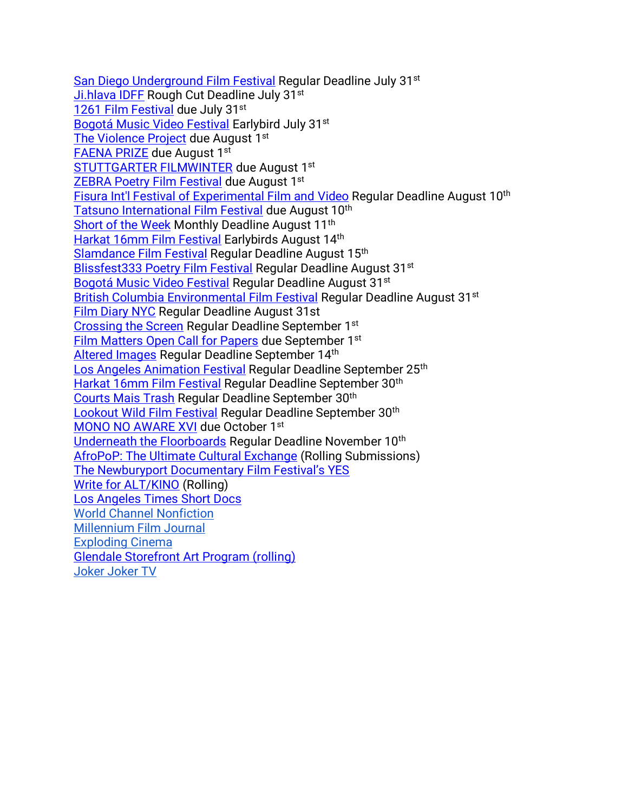[San Diego Underground Film Festival](https://filmfreeway.com/SanDiegoUndergroundFilmFestival) Regular Deadline July 31<sup>st</sup> [Ji.hlava IDFF](https://www.ji-hlava.com/prihlaseni-filmu) Rough Cut Deadline July 31st [1261 Film Festival](https://filmfreeway.com/1261FilmFestival?action=show&controller=festivals&utm_campaign=Recently+Opened+for+Entries&utm_medium=email&utm_source=filmmaker_newsletter) due July 31st [Bogotá Music Video Festival](https://filmfreeway.com/BMVF?action=show&controller=festivals&utm_campaign=Recently+Opened+for+Entries&utm_medium=email&utm_source=filmmaker_newsletter) Earlybird July 31<sup>st</sup> [The Violence Project](http://netex.nmartproject.net/?p=11365) due August 1st [FAENA PRIZE](https://www.faenaart.org/programs/faena-prize) due August 1st [STUTTGARTER FILMWINTER](https://filmwinter.de/en) due August 1st [ZEBRA Poetry Film Festival](https://filmfreeway.com/ZEBRAPoetryFilmFestival?action=show&controller=festivals&utm_campaign=Recently+Opened+for+Entries&utm_medium=email&utm_source=filmmaker_newsletter) due August 1st [Fisura Int'l Festival of Experimental Film and](https://filmfreeway.com/FISURAInternationalFilmFestival?fbclid=IwAR3iJlFVGCEMZq9SoP9f2It8A9hMkF3brJlEvHacUSoJ1YVbIluJcsXvulI) Video Regular Deadline August 10th [Tatsuno International Film Festival](https://filmfreeway.com/Tatsuno) due August 10<sup>th</sup> [Short of the Week](https://filmfreeway.com/shortoftheweek) Monthly Deadline August 11<sup>th</sup> [Harkat 16mm Film Festival](https://filmfreeway.com/16mmfilmfestival) Earlybirds August 14th [Slamdance Film Festival](https://filmfreeway.com/SlamdanceFilmFestival) Regular Deadline August 15th [Blissfest333 Poetry Film Festival](https://filmfreeway.com/Blissfest333?fbclid=IwAR3SXlnJkbxP3EMzx5u-uNQpJPDacUXsTXUY6HNMa7Geirm7qCX8bBE04Ps) Regular Deadline August 31<sup>st</sup> [Bogotá Music Video Festival](https://filmfreeway.com/BMVF?action=show&controller=festivals&utm_campaign=Recently+Opened+for+Entries&utm_medium=email&utm_source=filmmaker_newsletter) Regular Deadline August 31<sup>st</sup> [British Columbia Environmental Film Festival](https://filmfreeway.com/BritishColumbiaEnvironmentalFilmFestivalBCEFF?action=show&controller=festivals&utm_campaign=British+Columbia+Environmental+Film+Festival&utm_medium=External&utm_source=Submission+Button) Regular Deadline August 31st [Film Diary NYC](https://filmfreeway.com/FilmDiary) Regular Deadline August 31st [Crossing the Screen](https://filmfreeway.com/Crossingthescreen) Regular Deadline September 1<sup>st</sup> [Film Matters Open Call for Papers](https://www.filmmattersmagazine.com/2022/04/04/open-call-for-papers-14-1/) due September 1st [Altered Images](https://filmfreeway.com/AlteredImages?fbclid=IwAR303Zuvk4X7G_1Uj2KZ3ltYulh0WNk8vEmUyECj7c3yWiWFRLZatW8JoFI) Regular Deadline September 14th [Los Angeles Animation Festival](https://filmfreeway.com/LAAF) Regular Deadline September 25<sup>th</sup> [Harkat 16mm Film Festival](https://filmfreeway.com/16mmfilmfestival) Regular Deadline September 30<sup>th</sup> [Courts Mais Trash](https://filmfreeway.com/CourtsMaisTrash) Regular Deadline September 30th [Lookout Wild Film Festival](https://filmfreeway.com/LookoutWildFilmFestival) Regular Deadline September 30<sup>th</sup> [MONO NO AWARE XVI](https://docs.google.com/forms/d/e/1FAIpQLSe9KQdWTzQ9GiJEK3VWwuOZnRdLZAGnv3aKi7A2IlhTWcgCXA/viewform) due October 1st [Underneath the Floorboards](https://filmfreeway.com/MyFilmFestival-534726?fbclid=IwAR0F6CZJgpvTHp_1KMibmwE2mM_tddq6w5s8flWPFyNtLPQsW6G4763HPes) Regular Deadline November 10<sup>th</sup> [AfroPoP: The Ultimate Cultural Exchange](https://submissions.blackpublicmedia.org/submit/29357/afropop-the-ultimate-cultural-exchange-rolling-submissions?utm_source=constant-contact&utm_medium=newsletter&utm_campaign=filmmakers-afro-pop) (Rolling Submissions) [The Newburyport Documentary Film Festival's YES](https://www.nbptdocufest.org/festival/yes-film-submissions) [Write for ALT/KINO](https://www.altkino.com/write-for-us) (Rolling) [Los Angeles Times Short Docs](https://www.latimes.com/about/short-docs/story/2022-01-05/short-docs-submission-form?fbclid=IwAR2kBZ4XtBO-Kw8HE5RHd_1iqA37uspVgOroBF77fLnm0pRAPsPFAE8l5Bs) [World Channel Nonfiction](https://worldchannel.org/submit/filmmaker/) [Millennium Film Journal](https://millenniumfilmjournal.com/submissions/) [Exploding Cinema](https://explodingcinema.org/2020/submit-film/) [Glendale Storefront Art Program \(rolling\)](https://www.glendaleca.gov/government/departments/library-arts-culture/arts-culture-commission/storefront-art-program-artist-application) [Joker Joker TV](http://jokerjokertv.com/submit/?fbclid=IwAR2sJ1ia0y_CTjVkhRp940ItD3O-6ZxbpUdzjq40jT_XcyMJUWPIlJil53Y)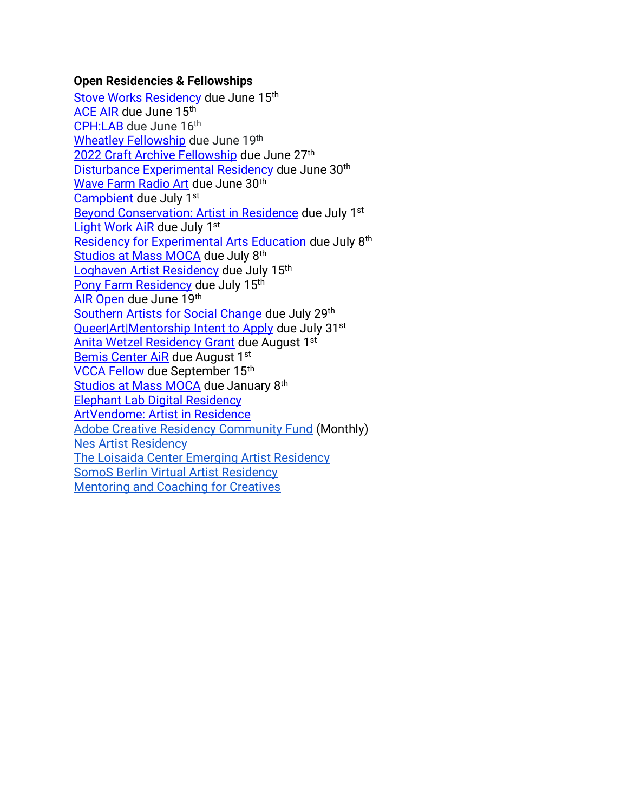#### **Open Residencies & Fellowships**

[Stove Works Residency](https://www.stoveworks.org/residency) due June 15<sup>th</sup> [ACE AIR](https://altacommunity.org/artist-in-residence) due June 15<sup>th</sup> [CPH:LAB](https://cphdox.dk/lab/call-for-projects/) due June 16th [Wheatley Fellowship](https://eastsideprojects.org/projects/apply-now-wheatley-fellowship-2022-23-open-call/) due June 19th [2022 Craft Archive Fellowship](https://centerforcraft.slideroom.com/#/login/program/66371) due June 27th [Disturbance Experimental Residency](http://uglyduck.org.uk/portfolio_page/disturbance4/) due June 30<sup>th</sup> [Wave Farm Radio Art](https://wavefarm.org/radio/wgxc/calendar/0nayyg) due June 30<sup>th</sup> [Campbient](https://realmorereal.org/campbient-application/) due July 1<sup>st</sup> [Beyond Conservation: Artist in Residence](https://www.studioverdeair.com/applyperu) due July 1<sup>st</sup> [Light Work AiR](https://lightwork.slideroom.com/#/login/program/61227) due July 1st [Residency for Experimental Arts Education](https://cmany.org/cma-artist-educator-residency/) due July 8th [Studios at Mass MOCA](https://www.assetsforartists.org/applying) due July 8<sup>th</sup> [Loghaven Artist Residency](https://loghaven.org/residencies/apply/) due July 15<sup>th</sup> [Pony Farm Residency](https://www.theponyfarm.com/open-call) due July 15<sup>th</sup> [AIR Open](https://www.airgallery.space/opencall?fbclid=IwAR0O9RLLFTis3q4ir5WYNWtgVjCz0hhMPwh8Io_mgGwBxkEtruQSvOviQnE) due June 19th [Southern Artists for Social Change](https://npnweb.org/programs/southern-artists-for-social-change/) due July 29th [Queer|Art|Mentorship Intent to Apply](https://docs.google.com/forms/d/e/1FAIpQLSdNLi0txwTiisDgYT36XS1_uvvdB_4hHXglnPtH7QnkjPZqEw/viewform) due July 31<sup>st</sup> [Anita Wetzel Residency Grant](https://wsworkshop.org/residencies/anita-wetzel-studio-residency/) due August 1st [Bemis Center AiR](https://bemis.slideroom.com/#/login) due August 1st [VCCA Fellow](https://www.vcca.com/apply/) due September 15th [Studios at Mass MOCA](https://www.assetsforartists.org/applying) due January 8<sup>th</sup> [Elephant Lab Digital Residency](https://elephant.art/lab/) [ArtVendome: Artist in Residence](https://www.vendomehotel.com/artvendome) [Adobe Creative Residency Community Fund](https://adobe.smapply.io/prog/adobe_creative_residency_community_fund_/) (Monthly) [Nes Artist Residency](https://docs.google.com/forms/d/e/1FAIpQLSfbokgQ5Jq5ZYa9y87lK9xq7n0yOJq8flXXNTNovTf2MRYg1w/viewform?formkey=dGM1OUN1R2xwYWl6eDgzZXJmU2YtVEE6MQ) The [Loisaida Center Emerging Artist Residency](https://docs.google.com/forms/d/e/1FAIpQLSdlETDquK-aDjonTcv-93WfUch04Bt0PLLYply6JxsmDzOfeA/viewform) [SomoS Berlin Virtual Artist Residency](https://www.somos-arts.org/somos-berlin-virtual-artist-residency/?fbclid=IwAR3hGjPBwOPyqSVfwDXjZx30jYu0cAD7YoPoXntyJXMapUVrRRHkIm9pbyQ) [Mentoring and Coaching for Creatives](https://www.artistmentor.co.uk/registration-and-booking/)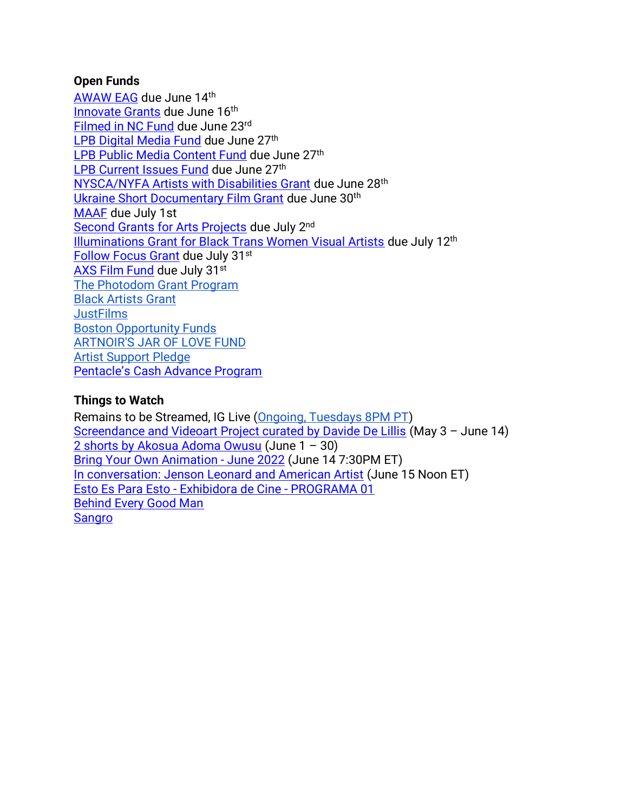## **Open Funds**

[AWAW EAG](https://www.nyfa.org/awards-grants/anonymous-was-a-woman-environmental-art-grants/) due June 14th [Innovate Grants](https://innovateartistgrants.org/about-us) due June 16<sup>th</sup> [Filmed in NC Fund](https://www.cucalorus.org/programs/filmedinnc/) due June 23rd [LPB Digital Media Fund](https://lpbp.org/digital-media-fund-guidelines/) due June 27<sup>th</sup> [LPB Public Media Content Fund](https://lpbp.org/public-media-content-fund-guidelines/) due June 27<sup>th</sup> [LPB Current Issues Fund](https://lpbp.org/current-issues-fund-guidelines/) due June 27<sup>th</sup> [NYSCA/NYFA Artists with Disabilities Grant](https://www.nyfa.org/awards-grants/nysca-nyfa-artists-with-disabilities-grant/?mc_cid=9843227a03&mc_eid=90f30b4dbb) due June 28th [Ukraine Short Documentary Film Grant](https://screeningroom.org/festivals/public/ukraine-short-documentary-grant) due June 30th [MAAF](https://wavefarm.org/grants/maaf-artists/about?fbclid=IwAR2K4YF-u4v8bw4A5R6f6Hl-NZxz_zhf1SRqLIEnlOtGc1Bf7ouoNUk6IVM) due July 1st [Second Grants for Arts Projects](https://www.arts.gov/grants/grants-for-arts-projects/media-arts) due July 2nd [Illuminations Grant for Black Trans Women Visual Artists](https://www.queer-art.org/illuminations-grant?mc_cid=dadd1b2155&mc_eid=90f30b4dbb) due July 12th [Follow Focus Grant](https://screeningroom.org/festivals/public/screeningroom-&-jigsaw-productions-2022-follow-focus-grant) due July 31st [AXS Film Fund](https://www.axsfilmfund.org/) due July 31st [The Photodom Grant Program](https://photodom.shop/grant-program/?mc_cid=c5f90928a3&mc_eid=3e589c1a44) [Black Artists Grant](https://creativedebuts.co.uk/bag/) **[JustFilms](https://www.fordfoundation.org/work/our-grants/justfilms/justfilms-inquiry/)** [Boston Opportunity Funds](https://cityofbostonartsandculture.submittable.com/submit) [ARTNOIR'S JAR OF LOVE FUND](https://docs.google.com/forms/d/e/1FAIpQLSf1Lt2O1w5BlC2F4qfoBW6m-5P1eLunaUx0PL1sN9uybTV_6A/viewform) [Artist Support Pledge](https://artistsupportpledge.com/) [Pentacle's Cash Advance Program](https://www.pentacle.org/new-initiatives/cash-advance-program/)

# **Things to Watch**

Remains to be Streamed, IG Live [\(Ongoing, Tuesdays 8PM PT\)](https://www.instagram.com/preservationinsanity/) [Screendance and Videoart Project curated by Davide De Lillis](https://www.visualcontainer.tv/?fbclid=IwAR2rc5oMUdu_H8QEX6R5inWSYYn8YwcII7brHQhkS0zqsDvz8m-lq-3JrE4) (May 3 – June 14) [2 shorts by Akosua Adoma Owusu](https://www.e-flux.com/video/programs/471968/akosua-adoma-owusu/) (June 1 – 30) [Bring Your Own Animation -](https://www.eventbrite.com/e/bring-your-own-animation-june-2022-tickets-361213849347?fbclid=IwAR19nTNzGpVj6I5n2SAZt8ked2XrW9tjWHKKOLDNV0bN1c0M4ULTgzan6E4) June 2022 (June 14 7:30PM ET) [In conversation: Jenson Leonard and American Artist](https://www.eventbrite.com/e/in-conversation-jenson-leonard-and-american-artist-tickets-339993588977?mc_cid=0cd568b2ad&mc_eid=d689e858fa) (June 15 Noon ET) Esto Es Para Esto - [Exhibidora de Cine -](https://www.twitch.tv/videos/1502949599) PROGRAMA 01 [Behind Every Good Man](https://www.youtube.com/watch?v=ylnNsO9KFq4&ab_channel=UCLAFilm%26TelevisionArchive) [Sangro](https://www.shortoftheweek.com/2020/12/01/sangro-i-bleed/)